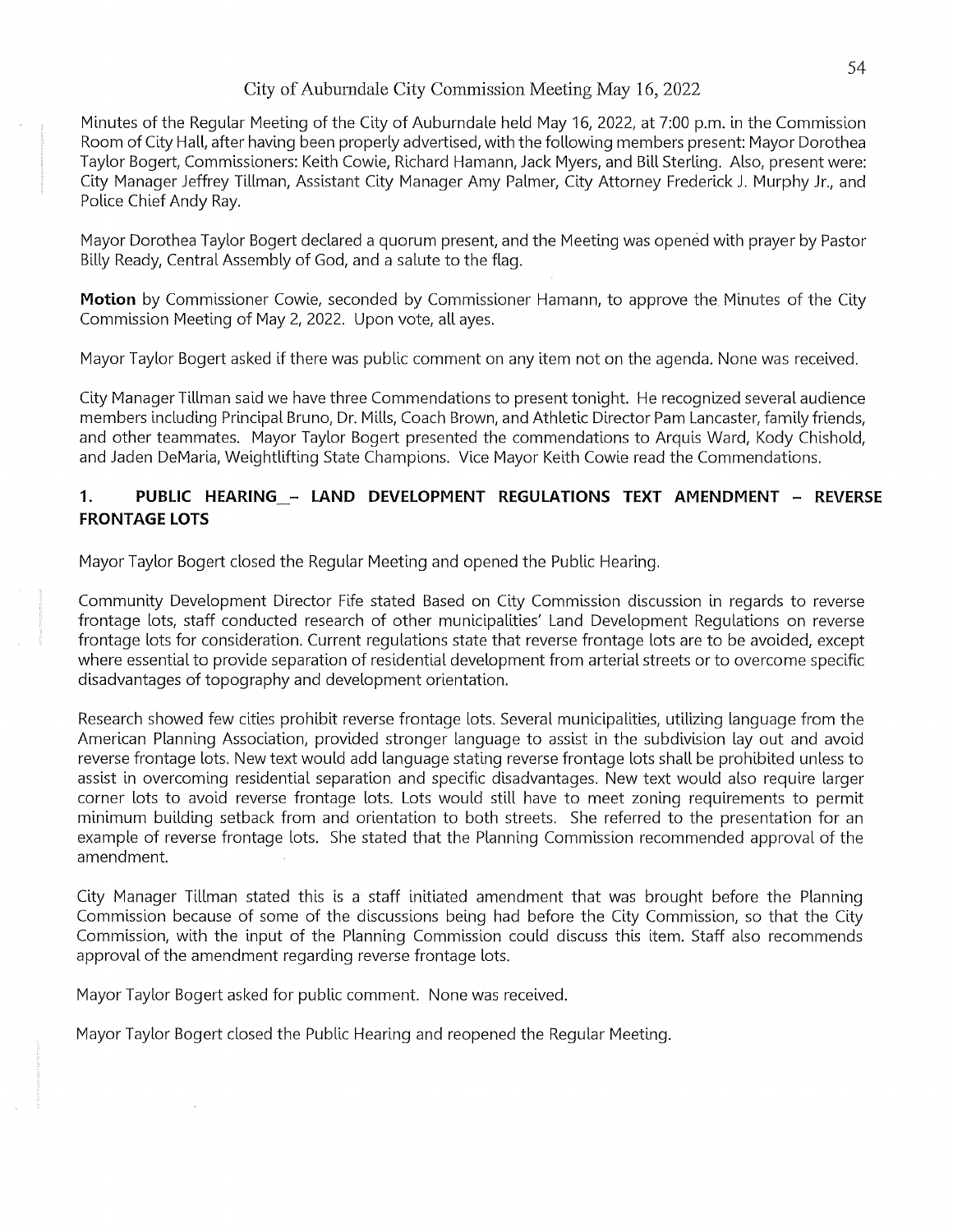Minutes of the Regular Meeting of the City of Auburndale held May 16, 2022, at 7:00 p.m. in the Commission Room of City Hall, after having been properly advertised, with the following members present: Mayor Dorothea Taylor Bogert, Commissioners: Keith Cowie, Richard Hamann, Jack Myers, and Bill Sterling. Also, present were: City Manager Jeffrey Tillman, Assistant City Manager Amy Palmer, City Attorney Frederick J. Murphy Jr., and Police Chief Andy Ray.

Mayor Dorothea Taylor Bogert declared a quorum present, and the Meeting was opened with prayer by Pastor Billy Ready, Central Assembly of God, and a salute to the flag.

**Motion** by Commissioner Cowie, seconded by Commissioner Hamann, to approve the. Minutes of the City Commission Meeting of May 2, 2022. Upon vote, all ayes.

Mayor Taylor Bogert asked if there was public comment on any item not on the agenda. None was received.

City Manager Tillman said we have three Commendations to present tonight. He recognized several audience members including Principal Bruno, Dr. Mills, Coach Brown, and Athletic Director Pam Lancaster, family friends, and other teammates. Mayor Taylor Bogert presented the commendations to Arquis Ward, Kody Chishold, and Jaden DeMaria, Weightlifting State Champions. Vice Mayor Keith Cowie read the Commendations.

## **1. PUBLIC HEARING\_- LAND DEVELOPMENT REGULATIONS TEXT AMENDMENT - REVERSE FRONTAGE LOTS**

Mayor Taylor Bogert closed the Regular Meeting and opened the Public Hearing.

Community Development Director Fife stated Based on City Commission discussion in regards to reverse frontage lots, staff conducted research of other municipalities' Land Development Regulations on reverse frontage lots for consideration. Current regulations state that reverse frontage lots are to be avoided, except where essential to provide separation of residential development from arterial streets or to overcome specific disadvantages of topography and development orientation.

Research showed few cities prohibit reverse frontage lots. Several municipalities, utilizing language from the American Planning Association, provided stronger language to assist in the subdivision layout and avoid reverse frontage lots. New text would add language stating reverse frontage lots shall be prohibited unless to assist in overcoming residential separation and specific disadvantages. New text would also require larger corner lots to avoid reverse frontage lots. Lots would still have to meet zoning requirements to permit minimum building setback from and orientation to both streets. She referred to the presentation for an example of reverse frontage lots. She stated that the Planning Commission recommended approval of the amendment.

City Manager Tillman stated this is a staff initiated amendment that was brought before the Planning Commission because of some of the discussions being had before the City Commission, so that the City Commission, with the input of the Planning Commission could discuss this item. Staff also recommends approval of the amendment regarding reverse frontage lots.

Mayor Taylor Bogert asked for public comment. None was received.

Mayor Taylor Bogert closed the Public Hearing and reopened the Regular Meeting.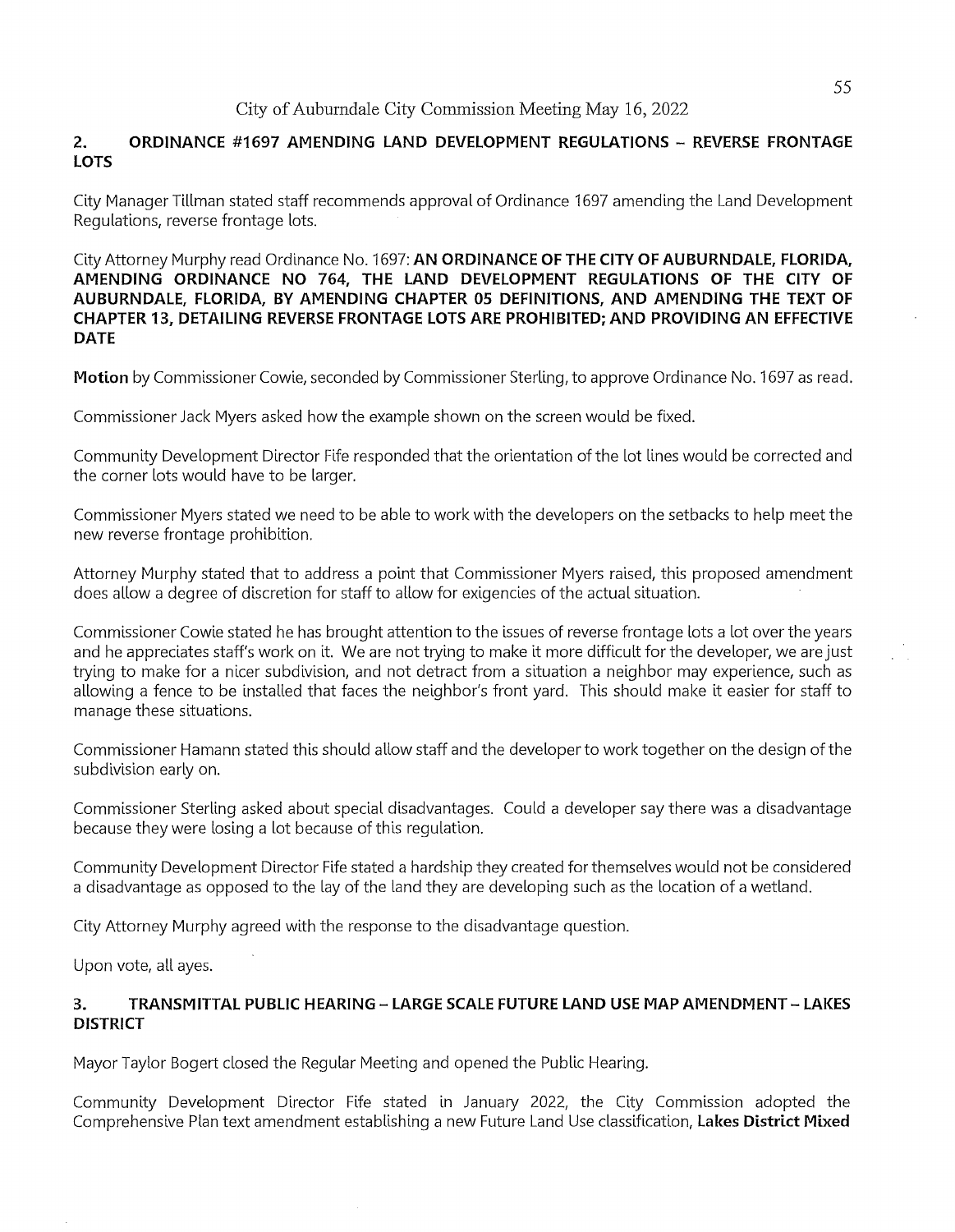## **2. ORDINANCE #1697 AMENDING LAND DEVELOPMENT REGULATIONS - REVERSE FRONTAGE LOTS**

City Manager Tillman stated staff recommends approval of Ordinance 1697 amending the Land Development Regulations, reverse frontage lots.

City Attorney Murphy read Ordinance No. 1697: **AN ORDINANCE OF THE CITY OF AUBURNDALE, FLORIDA, AMENDING ORDINANCE NO 764, THE LAND DEVELOPMENT REGULATIONS OF THE CITY OF AUBURNDALE, FLORIDA, BY AMENDING CHAPTER 05 DEFINITIONS, AND AMENDING THE TEXT OF CHAPTER 13, DETAILING REVERSE FRONTAGE LOTS ARE PROHIBITED; AND PROVIDING AN EFFECTIVE DATE** 

**Motion** by Commissioner Cowie, seconded by Commissioner Sterling, to approve Ordinance No. 1697 as read.

Commissioner Jack Myers asked how the example shown on the screen would be fixed.

Community Development Director Fife responded that the orientation of the lot lines would be corrected and the corner lots would have to be larger.

Commissioner Myers stated we need to be able to work with the developers on the setbacks to help meet the new reverse frontage prohibition.

Attorney Murphy stated that to address a point that Commissioner Myers raised, this proposed amendment does allow a degree of discretion for staff to allow for exigencies of the actual situation.

Commissioner Cowie stated he has brought attention to the issues of reverse frontage lots a lot over the years and he appreciates staff's work on it. We are not trying to make it more difficult for the developer, we are just trying to make for a nicer subdivision, and not detract from a situation a neighbor may experience, such as allowing a fence to be installed that faces the neighbor's front yard. This should make it easier for staff to manage these situations.

Commissioner Hamann stated this should allow staff and the developer to work together on the design of the subdivision early on.

Commissioner Sterling asked about special disadvantages. Could a developer say there was a disadvantage because they were losing a lot because of this regulation.

Community Development Director Fife stated a hardship they created for themselves would not be considered a disadvantage as opposed to the lay of the land they are developing such as the location of a wetland.

City Attorney Murphy agreed with the response to the disadvantage question.

Upon vote, all ayes.

### **3. TRANSMITTAL PUBLIC HEARING - LARGE SCALE FUTURE LAND USE MAP AMENDMENT - LAKES DISTRICT**

Mayor Taylor Bogert closed the Regular Meeting and opened the Public Hearing.

Community Development Director Fife stated in January 2022, the City Commission adopted the Comprehensive Plan text amendment establishing a new Future Land Use classification, **Lakes District Mixed**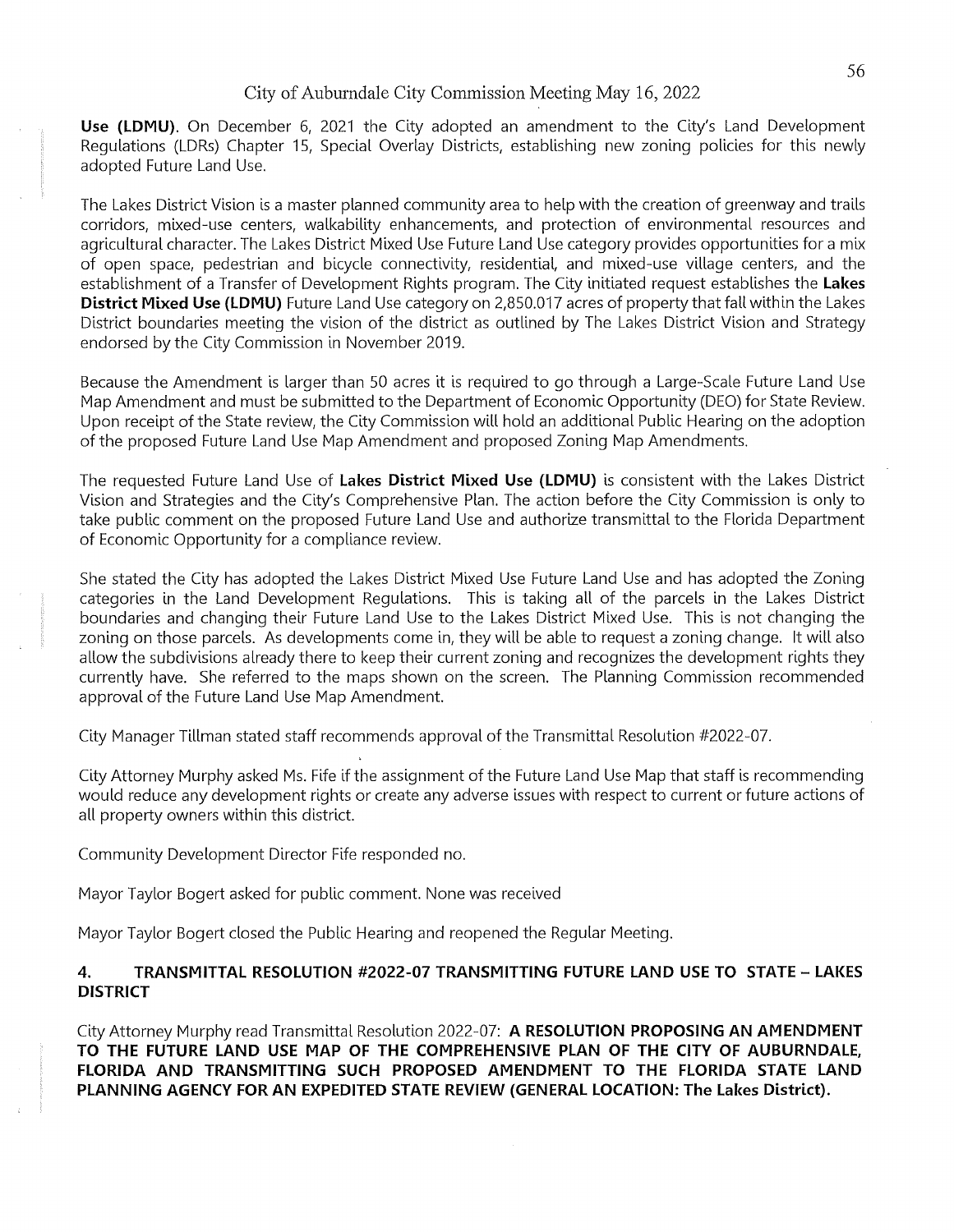**Use (LDMU).** On December 6, 2021 the City adopted an amendment to the City's Land Development Regulations (LDRs) Chapter 15, Special Overlay Districts, establishing new zoning policies for this newly adopted Future Land Use.

The Lakes District Vision is a master planned community area to help with the creation of greenway and trails corridors, mixed-use centers, walkability enhancements, and protection of environmental resources and agricultural character. The Lakes District Mixed Use Future Land Use category provides opportunities for a mix of open space, pedestrian and bicycle connectivity, residential, and mixed-use village centers, and the establishment of a Transfer of Development Rights program. The City initiated request establishes the **Lakes District Mixed Use (LDMU)** Future Land Use category on 2,850.017 acres of property that fall within the Lakes District boundaries meeting the vision of the district as outlined by The Lakes District Vision and Strategy endorsed by the City Commission in November 2019.

Because the Amendment is larger than 50 acres it is required to go through a Large-Scale Future Land Use Map Amendment and must be submitted to the Department of Economic Opportunity (DEO) for State Review. Upon receipt of the State review, the City Commission will hold an additional Public Hearing on the adoption of the proposed Future Land Use Map Amendment and proposed Zoning Map Amendments.

The requested Future Land Use of **Lakes District Mixed Use (LDMU)** is consistent with the Lakes District Vision and Strategies and the City's Comprehensive Plan. The action before the City Commission is only to take public comment on the proposed Future Land Use and authorize transmittal to the Florida Department of Economic Opportunity for a compliance review.

She stated the City has adopted the Lakes District Mixed Use Future Land Use and has adopted the Zoning categories in the Land Development Regulations. This is taking all of the parcels in the Lakes District boundaries and changing their Future Land Use to the Lakes District Mixed Use. This is not changing the zoning on those parcels. As developments come in, they will be able to request a zoning change. It will also allow the subdivisions already there to keep their current zoning and recognizes the development rights they currently have. She referred to the maps shown on the screen. The Planning Commission recommended approval of the Future Land Use Map Amendment.

City Manager Tillman stated staff recommends approval of the Transmittal Resolution #2022-07.

City Attorney Murphy asked Ms. Fife if the assignment of the Future Land Use Map that staff is recommending would reduce any development rights or create any adverse issues with respect to current or future actions of all property owners within this district.

Community Development Director Fife responded no.

Mayor Taylor Bogert asked for public comment. None was received

Mayor Taylor Bogert closed the Public Hearing and reopened the Regular Meeting.

#### **4. TRANSMITTAL RESOLUTION #2022-07 TRANSMITTING FUTURE LAND USE TO STATE - LAKES DISTRICT**

City Attorney Murphy read Transmittal Resolution 2022-07: **A RESOLUTION PROPOSING AN AMENDMENT TO THE FUTURE LAND USE MAP OF THE COMPREHENSIVE PLAN OF THE CITY OF AUBURNDALE, flORIDA AND TRANSMITTING SUCH PROPOSED AMENDMENT TO THE FLORIDA STATE LAND PLANNING AGENCY FOR AN EXPEDITED STATE REVIEW** (GENERAL LOCATION: **The Lakes District).**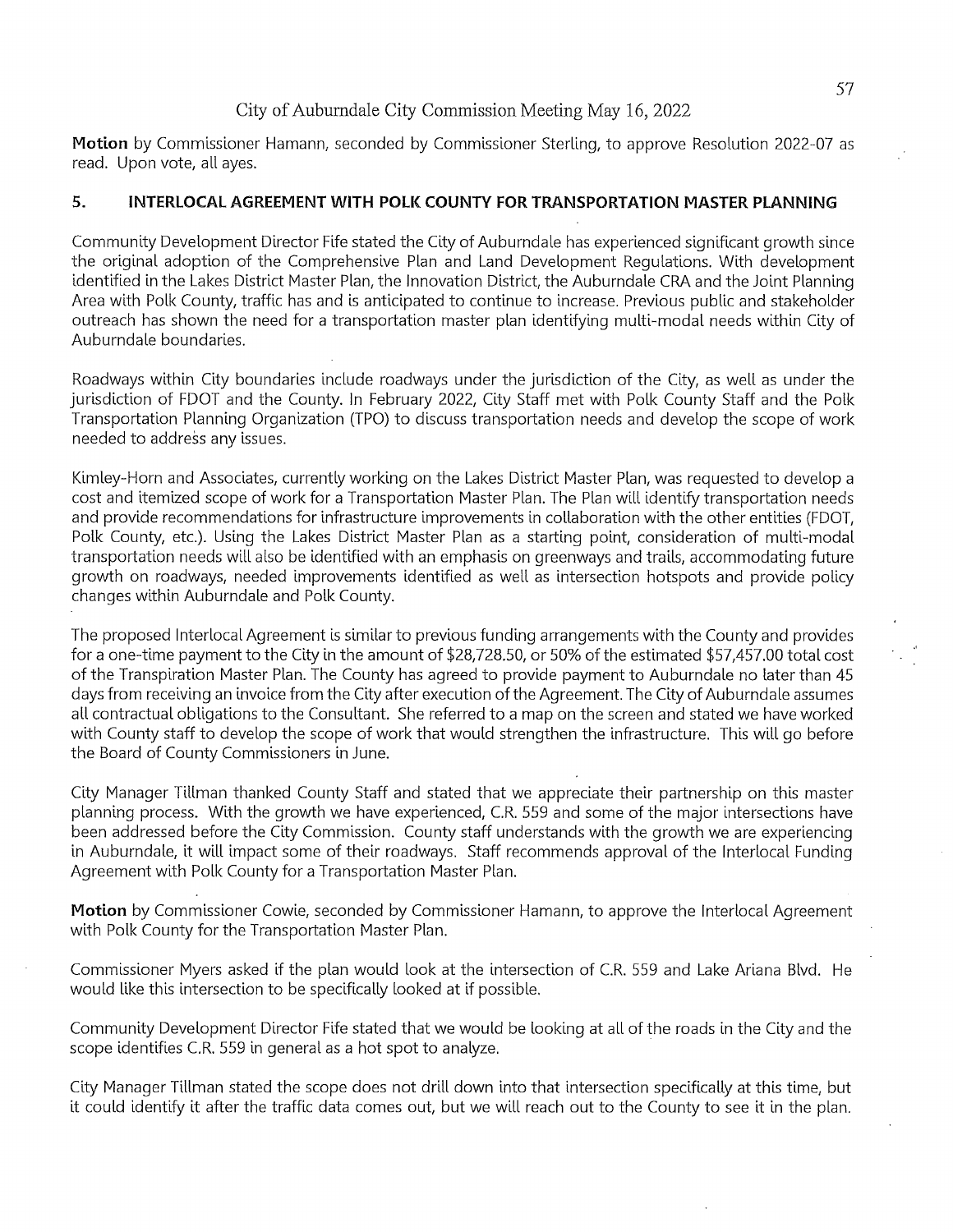Motion by Commissioner Hamann, seconded by Commissioner Sterling, to approve Resolution 2022-07 as read. Upon vote, all ayes.

## **5. INTERLOCAL AGREEMENT WITH POLK COUNTY FOR TRANSPORTATION MASTER PLANNING**

Community Development Director Fife stated the City of Auburndale has experienced significant growth since the original adoption of the Comprehensive Plan and Land Development Regulations. With development identified in the Lakes District Master Plan, the Innovation District, the Auburndale CRA and the Joint Planning Area with Polk County, traffic has and is anticipated to continue to increase. Previous public and stakeholder outreach has shown the need for a transportation master plan identifying multi-modal needs within City of Auburndale boundaries.

Roadways within City boundaries include roadways under the jurisdiction of the City, as well as under the jurisdiction of FDOT and the County. In February 2022, City Staff met with Polk County Staff and the Polk Transportation Planning Organization (TPO) to discuss transportation needs and develop the scope of work needed to address any issues.

Kimley-Horn and Associates, currently working on the Lakes District Master Plan, was requested to develop a cost and itemized scope of work for a Transportation Master Plan. The Plan will identify transportation needs and provide recommendations for infrastructure improvements in collaboration with the other entities (FDOT, Polk County, etc.). Using the Lakes District Master Plan as a starting point, consideration of multi-modal transportation needs will also be identified with an emphasis on greenways and trails, accommodating future growth on roadways, needed improvements identified as well as intersection hotspots and provide policy changes within Auburndale and Polk County.

The proposed Interlocal Agreement is similar to previous funding arrangements with the County and provides for a one-time payment to the City in the amount of \$28,728.50, or 50% of the estimated \$57,457.00 total cost of the Transpiration Master Plan. The County has agreed to provide payment to Auburndale no later than 45 days from receiving an invoice from the City after execution of the Agreement. The City of Auburndale assumes all contractual obligations to the Consultant. She referred to a map on the screen and stated we have worked with County staff to develop the scope of work that would strengthen the infrastructure. This will go before the Board of County Commissioners in June.

City Manager Tillman thanked County Staff and stated that we appreciate their partnership on this master planning process. With the growth we have experienced, C.R. 559 and some of the major intersections have been addressed before the City Commission. County staff understands with the growth we are experiencing in Auburndale, it will impact some of their roadways. Staff recommends approval of the Interlocal Funding Agreement with Polk County for a Transportation Master Plan.

**Motion** by Commissioner Cowie, seconded by Commissioner Hamann, to approve the Interlocal Agreement with Polk County for the Transportation Master Plan.

Commissioner Myers asked if the plan would look at the intersection of C.R. 559 and Lake Ariana Blvd. He would like this intersection to be specifically looked at if possible.

Community Development Director Fife stated that we would be looking at all of the roads in the City and the scope identifies C.R. 559 in general as a hot spot to analyze.

City Manager Tillman stated the scope does not drill down into that intersection specifically at this time, but it could identify it after the traffic data comes out, but we will reach out to the County to see it in the plan.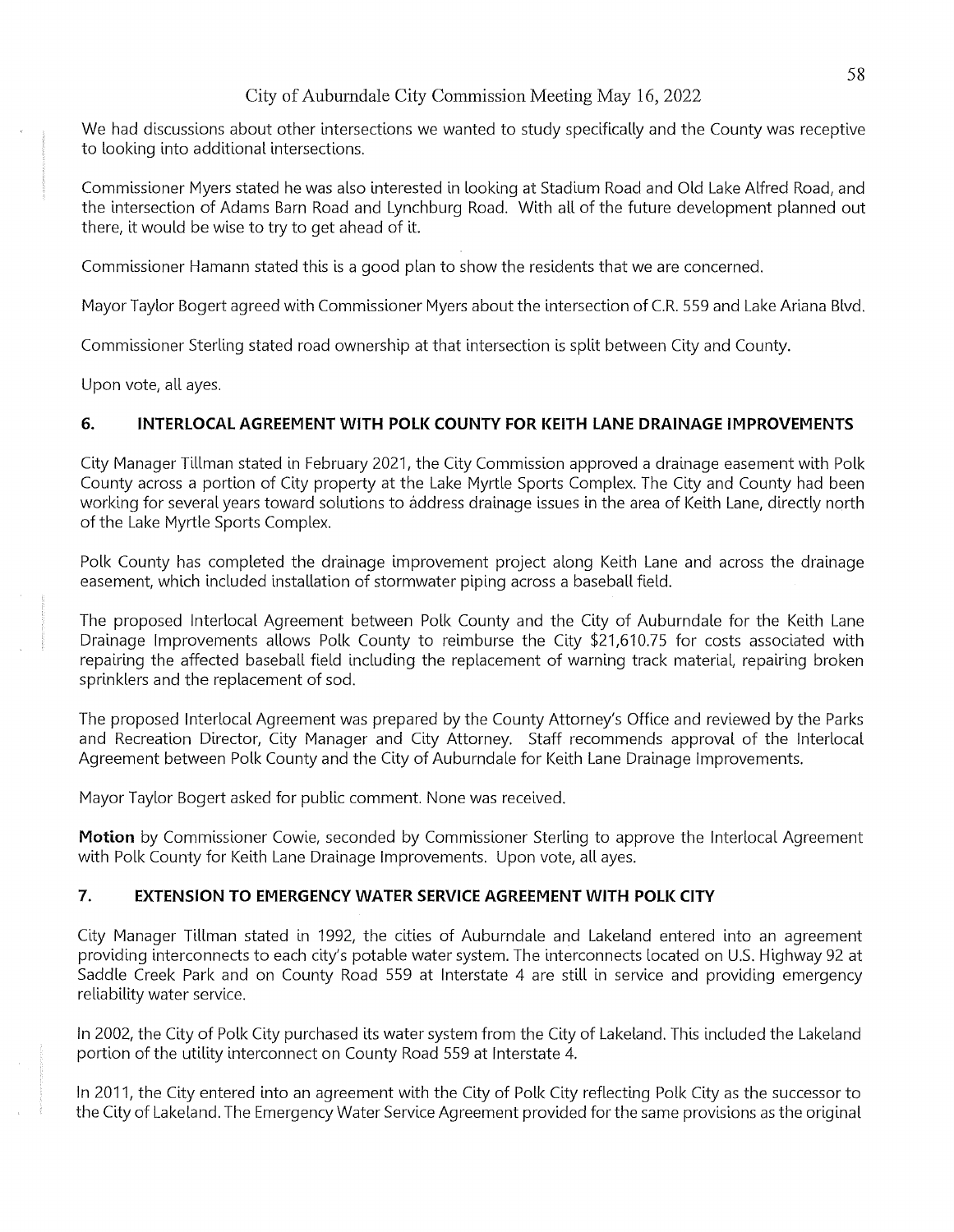We had discussions about other intersections we wanted to study specifically and the County was receptive to looking into additional intersections.

Commissioner Myers stated he was also interested in looking at Stadium Road and Old Lake Alfred Road, and the intersection of Adams Barn Road and Lynchburg Road. With all of the future development planned out there, it would be wise to try to get ahead of it.

Commissioner Hamann stated this is a good plan to show the residents that we are concerned.

Mayor Taylor Bogert agreed with Commissioner Myers about the intersection of C.R. 559 and Lake Ariana Blvd.

Commissioner Sterling stated road ownership at that intersection is split between City and County.

Upon vote, all ayes.

## **6. INTERLOCAL AGREEMENT WITH POLK COUNTY FOR KEITH LANE DRAINAGE IMPROVEMENTS**

City Manager Tillman stated in February 2021, the City Commission approved a drainage easement with Polk County across a portion of City property at the Lake Myrtle Sports Complex. The City and County had been working for several years toward solutions to address drainage issues in the area of Keith Lane, directly north of the Lake Myrtle Sports Complex.

Polk County has completed the drainage improvement project along Keith Lane and across the drainage easement, which included installation of stormwater piping across a baseball field.

The proposed Interlocal Agreement between Polk County and the City of Auburndale for the Keith Lane Drainage Improvements allows Polk County to reimburse the City \$21,610.75 for costs associated with repairing the affected baseball field including the replacement of warning track material, repairing broken sprinklers and the replacement of sod.

The proposed Interlocal Agreement was prepared by the County Attorney's Office and reviewed by the Parks and Recreation Director, City Manager and City Attorney. Staff recommends approval of the Interlocal Agreement between Polk County and the City of Auburndale for Keith Lane Drainage Improvements.

Mayor Taylor Bogert asked for public comment. None was received.

**Motion** by Commissioner Cowie, seconded by Commissioner Sterling to approve the Interlocal Agreement with Polk County for Keith Lane Drainage Improvements. Upon vote, all ayes.

## **7. EXTENSION TO EMERGENCY WATER SERVICE AGREEMENT WITH POLK CITY**

City Manager Tillman stated in 1992, the cities of Auburndale and Lakeland entered into an agreement providing interconnects to each city's potable water system. The interconnects located on u.s. Highway 92 at Saddle Creek Park and on County Road 559 at Interstate 4 are still in service and providing emergency reliability water service.

In 2002, the City of Polk City purchased its water system from the City of Lakeland. This included the Lakeland portion of the utility interconnect on County Road 559 at Interstate 4.

In 2011, the City entered into an agreement with the City of Polk City reflecting Polk City as the successor to the City of Lakeland. The Emergency Water Service Agreement provided for the same provisions as the original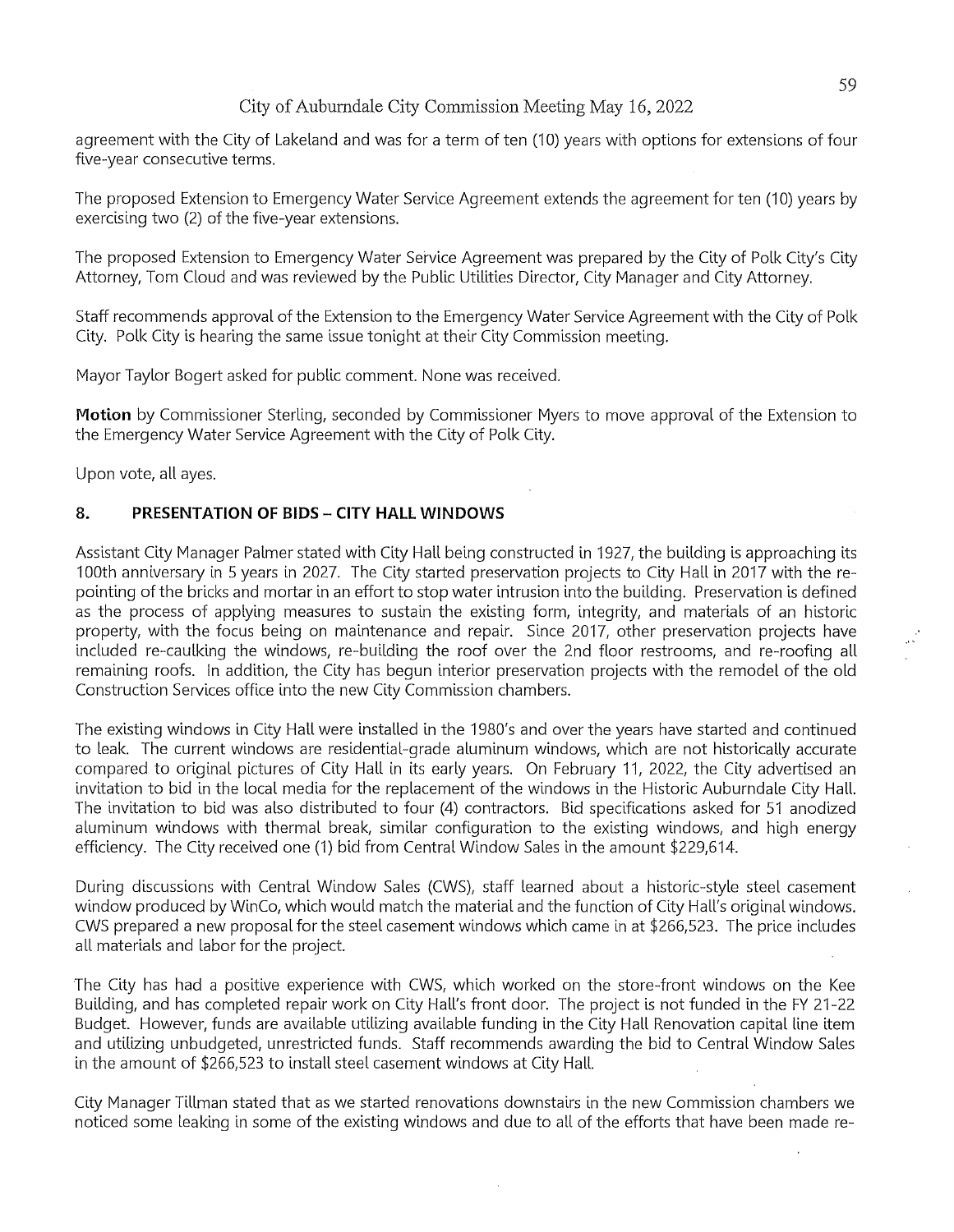agreement with the City of Lakeland and was for a term of ten (10) years with options for extensions of four five-year consecutive terms.

The proposed Extension to Emergency Water Service Agreement extends the agreement for ten (10) years by exercising two (2) of the five-year extensions.

The proposed Extension to Emergency Water Service Agreement was prepared by the City of Polk City's City Attorney, Tom Cloud and was reviewed by the Public Utilities Director, City Manager and City Attorney.

Staff recommends approval of the Extension to the Emergency Water Service Agreement with the City of Polk City. Polk City is hearing the same issue tonight at their City Commission meeting.

Mayor Taylor Bogert asked for public comment. None was received.

**Motion** by Commissioner Sterling, seconded by Commissioner Myers to move approval of the Extension to the Emergency Water Service Agreement with the City of Polk City.

Upon vote, all ayes.

#### **8. PRESENTATION OF BIDS - CITY HALL WINDOWS**

Assistant City Manager Palmer stated with City Hall being constructed in 1927, the building is approaching its 100th anniversary in 5 years in 2027. The City started preservation projects to City Hall in 2017 with the repointing of the bricks and mortar in an effort to stop water intrusion into the building. Preservation is defined as the process of applying measures to sustain the existing form, integrity, and materials of an historic property, with the focus being on maintenance and repair. Since 2017, other preservation projects have included re-caulking the windows, re-bullding the roof over the 2nd floor restrooms, and re-roofing all remaining roofs. In addition, the City has begun interior preservation projects with the remodel of the old Construction Services office into the new City Commission chambers.

The existing windows in City Hall were installed in the 1980's and over the years have started and continued to leak. The current windows are residential-grade aluminum windows, which are not historically accurate compared to original pictures of City Hallin its early years. On February 11, 2022, the City advertised an invitation to bid in the local media for the replacement of the windows in the Historic Auburndale City Hall. The invitation to bid was also distributed to four (4) contractors. Bid specifications asked for 51 anodized aluminum windows with thermal break, similar configuration to the existing windows, and high energy efficiency. The City received one (1) bid from Central Window Sales in the amount \$229,614.

During discussions with Central Window Sales (CWS), staff learned about a historic-style steel casement window produced by WinCo, which would match the material and the function of City Hall's original windows. CWS prepared a new proposal for the steel casement windows which came in at \$266,523. The price includes all materials and labor for the project.

The City has had a positive experience with CWS, which worked on the store-front windows on the Kee Building, and has completed repair work on City Hall's front door. The project is not funded in the FY 21-22 Budget. However, funds are available utilizing available funding in the City Hall Renovation capital line item and utilizing unbudgeted, unrestricted funds. Staff recommends awarding the bid to Central Window Sales in the amount of \$266,523 to install steel casement windows at City Hall.

City Manager Tillman stated that as we started renovations downstairs in the new Commission chambers we noticed some leaking in some of the existing windows and due to all of the efforts that have been made re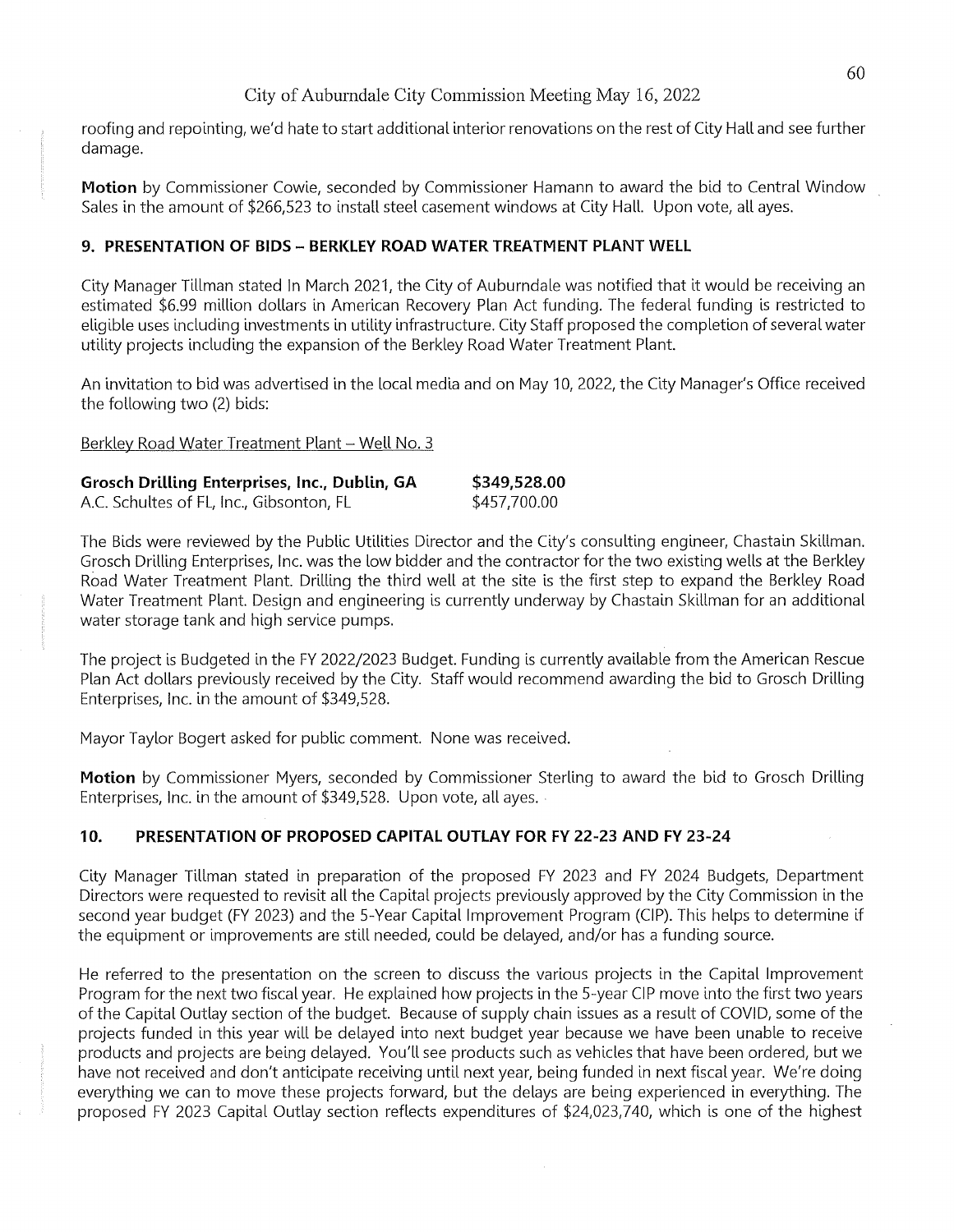roofing and repointing, we'd hate to start additional interior renovations on the rest of City Hall and see further damage.

**Motion** by Commissioner Cowie, seconded by Commissioner Hamann to award the bid to Central Window Sales in the amount of \$266,523 to install steel casement windows at City Hall. Upon vote, all ayes.

## **9. PRESENTATION OF BIDS - BERKLEY ROAD WATER TREATMENT PLANT WELL**

City Manager Tillman stated In March 2021, the City of Auburndale was notified that it would be receiving an estimated \$6.99 million dollars in American Recovery Plan Act funding. The federal funding is restricted to eligible uses including investments in utility infrastructure. City Staff proposed the completion of several water utility projects including the expansion of the Berkley Road Water Treatment Plant.

An invitation to bid was advertised in the local media and on May 10, 2022, the City Manager's Office received the following two (2) bids:

Berkley Road Water Treatment Plant - Well No. 3

| <b>Grosch Drilling Enterprises, Inc., Dublin, GA</b> | \$349,528.00 |
|------------------------------------------------------|--------------|
| A.C. Schultes of FL, Inc., Gibsonton, FL             | \$457,700.00 |

The Bids were reviewed by the Public Utilities Director and the City's consulting engineer, Chastain Skillman. Grosch Drilling Enterprises, Inc. was the low bidder and the contractor for the two existing wells at the Berkley Road Water Treatment Plant. Drilling the third well at the site is the first step to expand the Berkley Road Water Treatment Plant. Design and engineering is currently underway by Chastain Skillman for an additional water storage tank and high service pumps.

The project is Budgeted in the FY 2022/2023 Budget. Funding is currently available from the American Rescue Plan Act dollars previously received by the City. Staff would recommend awarding the bid to Grosch Drilling Enterprises, Inc. in the amount of \$349,528.

Mayor Taylor Bogert asked for public comment. None was received.

**Motion** by Commissioner Myers, seconded by Commissioner Sterling to award the bid to Grosch Drilling Enterprises, Inc. in the amount of \$349,528. Upon vote, all ayes.

# **10. PRESENTATION OF PROPOSED CAPITAL OUTLAY FOR FY 22-23 AND FY 23-24**

City Manager Tillman stated in preparation of the proposed FY 2023 and FY 2024 Budgets, Department Directors were requested to revisit all the Capital projects previously approved by the City Commission in the second year budget (FY 2023) and the 5-Year Capital Improvement Program (CIP). This helps to determine if the equipment or improvements are still needed, could be delayed, and/or has a funding source.

He referred to the presentation on the screen to discuss the various projects in the Capital Improvement Program for the next two fiscal year. He explained how projects in the 5-year CIP move into the first two years of the Capital Outlay section of the budget. Because of supply chain issues as a result of COVID, some of the projects funded in this year will be delayed into next budget year because we have been unable to receive products and projects are being delayed. You'll see products such as vehicles that have been ordered, but we have not received and don't anticipate receiving until next year, being funded in next fiscal year. We're doing everything we can to move these projects forward, but the delays are being experienced in everything. The proposed FY 2023 Capital Outlay section reflects expenditures of \$24,023,740, which is one of the highest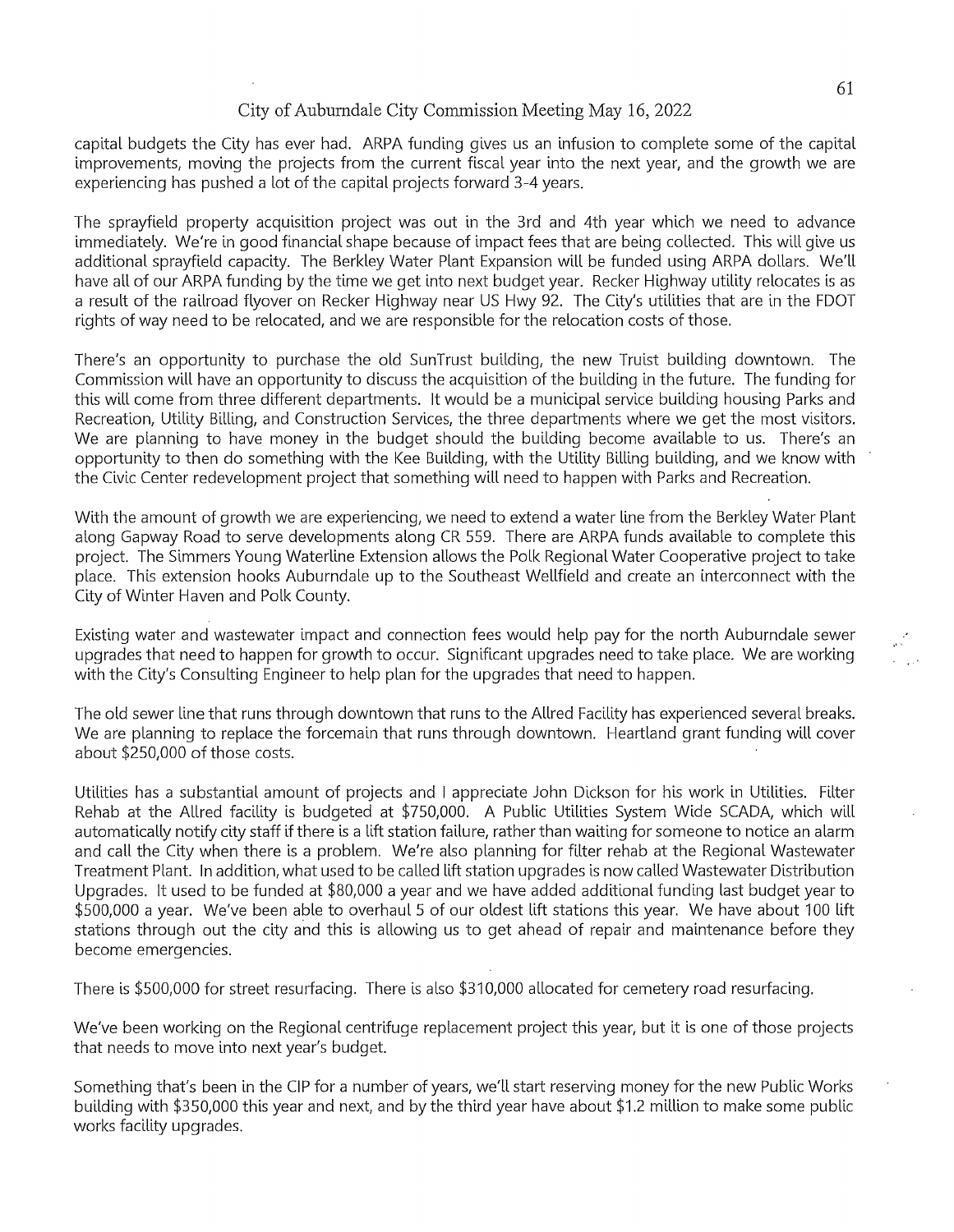capital budgets the City has ever had. ARPA funding gives us an infusion to complete some of the capital improvements, moving the projects from the current fiscal year into the next year, and the growth we are experiencing has pushed a lot of the capital projects forward 3-4 years.

The sprayfield property acquisition project was out in the 3rd and 4th year which we need to advance immediately. We're in good financial shape because of impact fees that are being collected. This will give us additional sprayfield capacity. The Berkley Water Plant Expansion will be funded using ARPA dollars. We'll have all of our ARPA funding by the time we get into next budget year. Recker Highway utility relocates is as a result of the railroad flyover on Recker Highway near US Hwy 92. The City's utilities that are in the FDOT rights of way need to be relocated, and we are responsible for the relocation costs of those.

There's an opportunity to purchase the old SunTrust building, the new Truist building downtown. The Commission will have an opportunity to discuss the acquisition of the building in the future. The funding for this will come from three different departments. It would be a municipal service building housing Parks and Recreation, Utility Billing, and Construction Services, the three departments where we get the most visitors. We are planning to have money in the budget should the building become avallable to us. There's an opportunity to then do something with the Kee Bullding, with the Utility Billing bullding, and we know with the Civic Center redevelopment project that something will need to happen with Parks and Recreation.

With the amount of growth we are experiencing, we need to extend a water line from the Berkley Water Plant along Gapway Road to serve developments along CR 559. There are ARPA funds avallable to complete this project. The Simmers Young Waterline Extension allows the Polk Regional Water Cooperative project to take place. This extension hooks Auburndale up to the Southeast Wellfield and create an interconnect with the City of Winter Haven and Polk County.

Existing water and wastewater impact and connection fees would help pay for the north Auburndale sewer upgrades that need to happen for growth to occur. Significant upgrades need to take place. We are working with the City's Consulting Engineer to help plan for the upgrades that need to happen.

The old sewer line that runs through downtown that runs to the Allred Facility has experienced several breaks. We are planning to replace the forcemain that runs through downtown. Heartland grant funding will cover about \$250,000 of those costs.

Utilities has a substantial amount of projects and I appreciate John Dickson for his work in Utilities. Filter Rehab at the Allred facility is budgeted at \$750,000. A Public Utilities System Wide SCADA, which will automatically notify city staff if there is a lift station fallure, rather than waiting for someone to notice an alarm and call the City when there is a problem. We're also planning for filter rehab at the Regional Wastewater Treatment Plant. In addition, what used to be called lift station upgrades is now called Wastewater Distribution Upgrades. It used to be funded at \$80,000 a year and we have added additional funding last budget year to \$500,000 a year. We've been able to overhaul 5 of our oldest lift stations this year. We have about 100 lift stations through out the city and this is allowing us to get ahead of repair and maintenance before they become emergencies.

There is \$500,000 for street resurfacing. There is also \$310,000 allocated for cemetery road resurfacing.

We've been working on the Regional centrifuge replacement project this year, but it is one of those projects that needs to move into next year's budget.

Something that's been in the CIP for a number of years, we'll start reserving money for the new Public Works bullding with \$350,000 this year and next, and by the third year have about \$1.2 million to make some public works facility upgrades.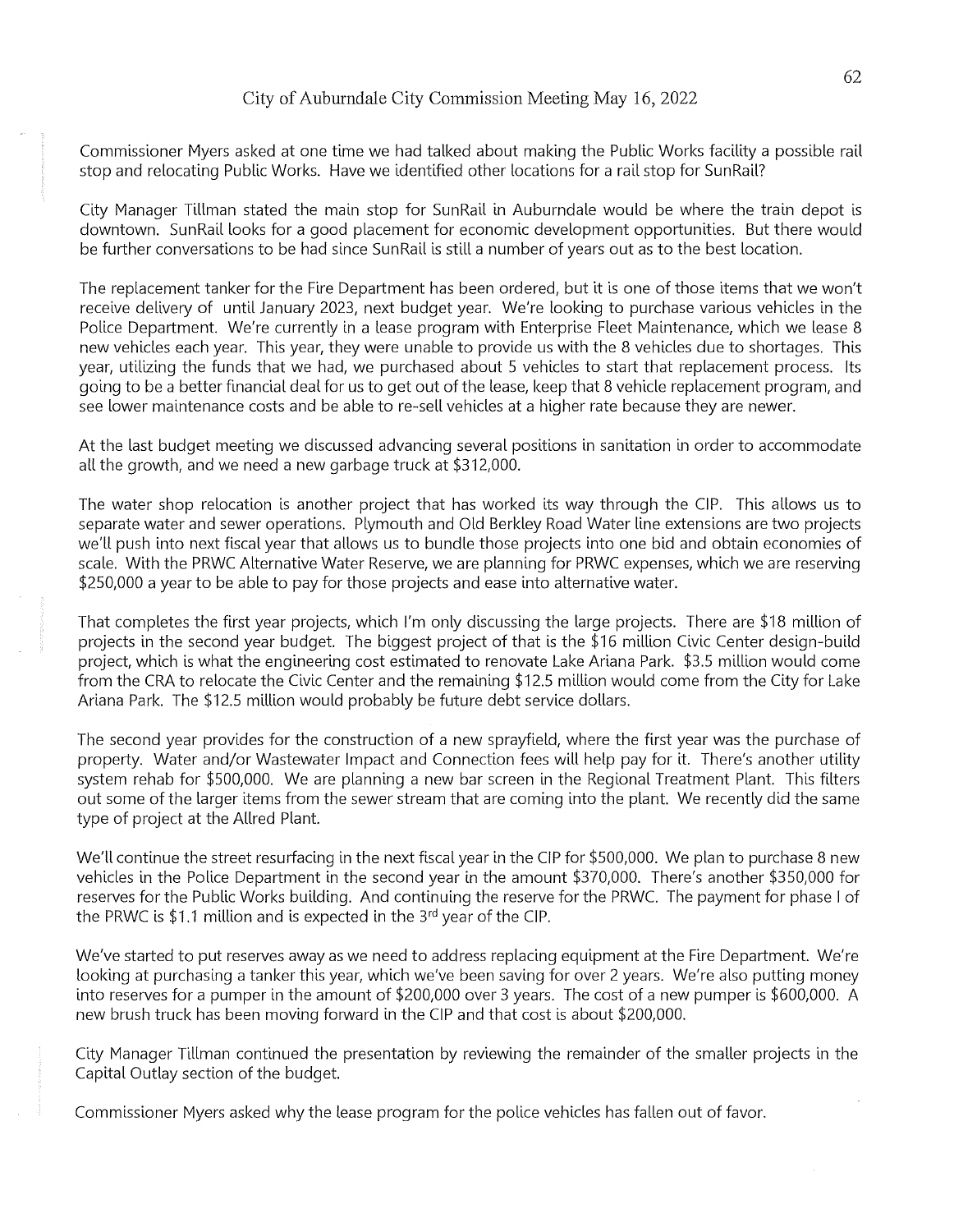Commissioner Myers asked at one time we had talked about making the Public Works facility a possible rail stop and relocating Public Works. Have we identified other locations for a rail stop for Sun Rail?

City Manager Tillman stated the main stop for SunRail in Auburndale would be where the train depot is downtown. SunRail looks for a good placement for economic development opportunities. But there would be further conversations to be had since SunRail is still a number of years out as to the best location.

The replacement tanker for the Fire Department has been ordered, but it is one of those items that we won't receive delivery of until January 2023, next budget year. We're looking to purchase various vehicles in the Police Department. We're currently in a lease program with Enterprise Fleet Maintenance, which we lease 8 new vehicles each year. This year, they were unable to provide us with the 8 vehicles due to shortages. This year, utilizing the funds that we had, we purchased about 5 vehicles to start that replacement process. Its going to be a better financial deal for us to get out of the lease, keep that 8 vehicle replacement program, and see lower maintenance costs and be able to re-sell vehicles at a higher rate because they are newer.

At the last budget meeting we discussed advancing several positions in sanitation in order to accommodate all the growth, and we need a new garbage truck at \$312,000.

The water shop relocation is another project that has worked its way through the CIP. This allows us to separate water and sewer operations. Plymouth and Old Berkley Road Water line extensions are two projects we'll push into next fiscal year that allows us to bundle those projects into one bid and obtain economies of scale. With the PRWC Alternative Water Reserve, we are planning for PRWC expenses, which we are reserving \$250,000 a year to be able to pay for those projects and ease into alternative water.

That completes the first year projects, which I'm only discussing the large projects. There are \$18 million of projects in the second year budget. The biggest project of that is the \$16 million Civic Center design-build project, which is what the engineering cost estimated to renovate Lake Ariana Park. \$3.5 million would come from the CRA to relocate the Civic Center and the remaining \$12.5 million would come from the City for Lake Ariana Park. The \$12.5 million would probably be future debt service dollars.

The second year provides for the construction of a new sprayfield, where the first year was the purchase of property. Water and/or Wastewater Impact and Connection fees will help pay for it. There's another utility system rehab for \$500,000. We are planning a new bar screen in the Regional Treatment Plant. This filters out some of the larger items from the sewer stream that are coming into the plant. We recently did the same type of project at the Allred Plant.

We'll continue the street resurfacing in the next fiscal year in the CIP for \$500,000. We plan to purchase 8 new vehicles in the Police Department in the second year in the amount \$370,000. There's another \$350,000 for reserves for the Public Works building. And continuing the reserve for the PRWC. The payment for phase I of the PRWC is \$1.1 million and is expected in the  $3<sup>rd</sup>$  year of the CIP.

We've started to put reserves away as we need to address replacing equipment at the Fire Department. We're looking at purchasing a tanker this year, which we've been saving for over 2 years. We're also putting money into reserves for a pumper in the amount of \$200,000 over 3 years. The cost of a new pumper is \$600,000. A new brush truck has been moving forward in the CIP and that cost is about \$200,000.

City Manager Tillman continued the presentation by reviewing the remainder of the smaller projects in the Capital Outlay section of the budget.

Commissioner Myers asked why the lease program for the police vehicles has fallen out of favor.